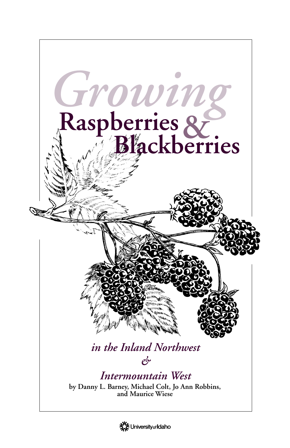

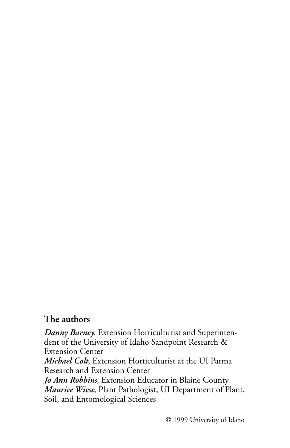## **The authors**

*Danny Barney*, Extension Horticulturist and Superintendent of the University of Idaho Sandpoint Research & Extension Center *Michael Colt*, Extension Horticulturist at the UI Parma Research and Extension Center *Jo Ann Robbins*, Extension Educator in Blaine County *Maurice Wiese*, Plant Pathologist, UI Department of Plant, Soil, and Entomological Sciences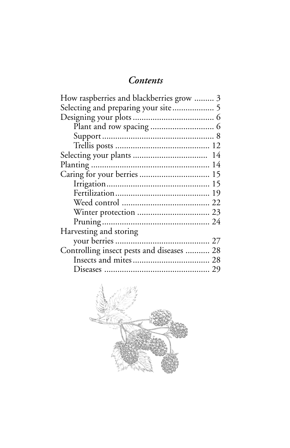## *Contents*

| How raspberries and blackberries grow  3  |  |
|-------------------------------------------|--|
| Selecting and preparing your site 5       |  |
|                                           |  |
|                                           |  |
|                                           |  |
|                                           |  |
|                                           |  |
|                                           |  |
| Caring for your berries  15               |  |
|                                           |  |
|                                           |  |
|                                           |  |
|                                           |  |
|                                           |  |
| Harvesting and storing                    |  |
|                                           |  |
| Controlling insect pests and diseases  28 |  |
|                                           |  |
|                                           |  |
|                                           |  |

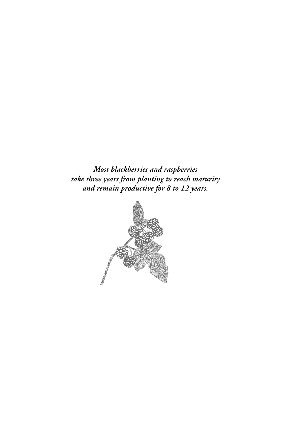*Most blackberries and raspberries take three years from planting to reach maturity and remain productive for 8 to 12 years.*

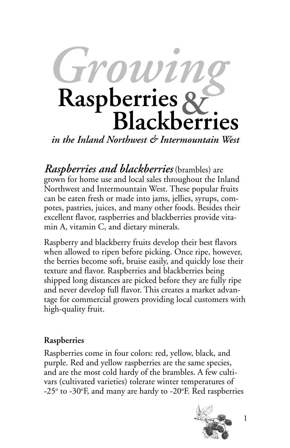

*in the Inland Northwest & Intermountain West*

*Raspberries and blackberries* (brambles) are grown for home use and local sales throughout the Inland Northwest and Intermountain West. These popular fruits can be eaten fresh or made into jams, jellies, syrups, compotes, pastries, juices, and many other foods. Besides their excellent flavor, raspberries and blackberries provide vitamin A, vitamin C, and dietary minerals.

Raspberry and blackberry fruits develop their best flavors when allowed to ripen before picking. Once ripe, however, the berries become soft, bruise easily, and quickly lose their texture and flavor. Raspberries and blackberries being shipped long distances are picked before they are fully ripe and never develop full flavor. This creates a market advantage for commercial growers providing local customers with high-quality fruit.

## **Raspberries**

Raspberries come in four colors: red, yellow, black, and purple. Red and yellow raspberries are the same species, and are the most cold hardy of the brambles. A few cultivars (cultivated varieties) tolerate winter temperatures of -25 $^{\circ}$  to -30 $^{\circ}$ F, and many are hardy to -20 $^{\circ}$ F. Red raspberries

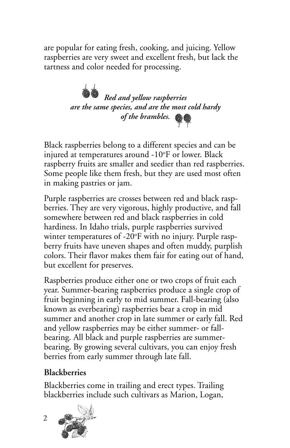are popular for eating fresh, cooking, and juicing. Yellow raspberries are very sweet and excellent fresh, but lack the tartness and color needed for processing.

> *Red and yellow raspberries are the same species, and are the most cold hardy of the brambles.*

Black raspberries belong to a different species and can be injured at temperatures around -10°F or lower. Black raspberry fruits are smaller and seedier than red raspberries. Some people like them fresh, but they are used most often in making pastries or jam.

Purple raspberries are crosses between red and black raspberries. They are very vigorous, highly productive, and fall somewhere between red and black raspberries in cold hardiness. In Idaho trials, purple raspberries survived winter temperatures of -20°F with no injury. Purple raspberry fruits have uneven shapes and often muddy, purplish colors. Their flavor makes them fair for eating out of hand, but excellent for preserves.

Raspberries produce either one or two crops of fruit each year. Summer-bearing raspberries produce a single crop of fruit beginning in early to mid summer. Fall-bearing (also known as everbearing) raspberries bear a crop in mid summer and another crop in late summer or early fall. Red and yellow raspberries may be either summer- or fallbearing. All black and purple raspberries are summerbearing. By growing several cultivars, you can enjoy fresh berries from early summer through late fall.

## **Blackberries**

Blackberries come in trailing and erect types. Trailing blackberries include such cultivars as Marion, Logan,

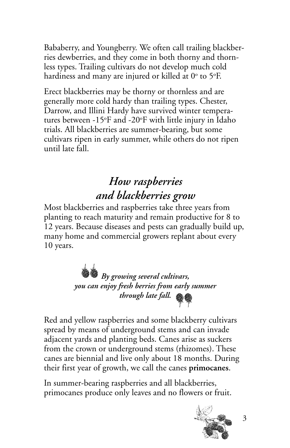Bababerry, and Youngberry. We often call trailing blackberries dewberries, and they come in both thorny and thornless types. Trailing cultivars do not develop much cold hardiness and many are injured or killed at  $0^{\circ}$  to 5°F.

Erect blackberries may be thorny or thornless and are generally more cold hardy than trailing types. Chester, Darrow, and Illini Hardy have survived winter temperatures between -15°F and -20°F with little injury in Idaho trials. All blackberries are summer-bearing, but some cultivars ripen in early summer, while others do not ripen until late fall.

## *How raspberries and blackberries grow*

Most blackberries and raspberries take three years from planting to reach maturity and remain productive for 8 to 12 years. Because diseases and pests can gradually build up, many home and commercial growers replant about every 10 years.



Red and yellow raspberries and some blackberry cultivars spread by means of underground stems and can invade adjacent yards and planting beds. Canes arise as suckers from the crown or underground stems (rhizomes). These canes are biennial and live only about 18 months. During their first year of growth, we call the canes **primocanes**.

In summer-bearing raspberries and all blackberries, primocanes produce only leaves and no flowers or fruit.

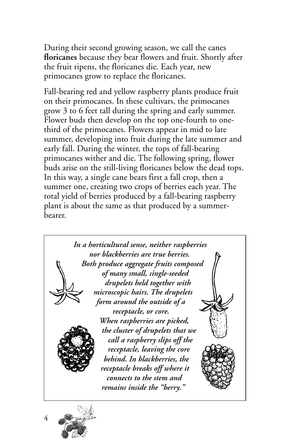During their second growing season, we call the canes **floricanes** because they bear flowers and fruit. Shortly after the fruit ripens, the floricanes die. Each year, new primocanes grow to replace the floricanes.

Fall-bearing red and yellow raspberry plants produce fruit on their primocanes. In these cultivars, the primocanes grow 3 to 6 feet tall during the spring and early summer. Flower buds then develop on the top one-fourth to onethird of the primocanes. Flowers appear in mid to late summer, developing into fruit during the late summer and early fall. During the winter, the tops of fall-bearing primocanes wither and die. The following spring, flower buds arise on the still-living floricanes below the dead tops. In this way, a single cane bears first a fall crop, then a summer one, creating two crops of berries each year. The total yield of berries produced by a fall-bearing raspberry plant is about the same as that produced by a summerbearer.



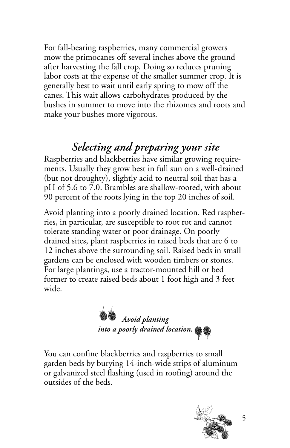For fall-bearing raspberries, many commercial growers mow the primocanes off several inches above the ground after harvesting the fall crop. Doing so reduces pruning labor costs at the expense of the smaller summer crop. It is generally best to wait until early spring to mow off the canes. This wait allows carbohydrates produced by the bushes in summer to move into the rhizomes and roots and make your bushes more vigorous.

## *Selecting and preparing your site*

Raspberries and blackberries have similar growing requirements. Usually they grow best in full sun on a well-drained (but not droughty), slightly acid to neutral soil that has a pH of 5.6 to 7.0. Brambles are shallow-rooted, with about 90 percent of the roots lying in the top 20 inches of soil.

Avoid planting into a poorly drained location. Red raspberries, in particular, are susceptible to root rot and cannot tolerate standing water or poor drainage. On poorly drained sites, plant raspberries in raised beds that are 6 to 12 inches above the surrounding soil. Raised beds in small gardens can be enclosed with wooden timbers or stones. For large plantings, use a tractor-mounted hill or bed former to create raised beds about 1 foot high and 3 feet wide.

*Avoid planting into a poorly drained location.*

You can confine blackberries and raspberries to small garden beds by burying 14-inch-wide strips of aluminum or galvanized steel flashing (used in roofing) around the outsides of the beds.

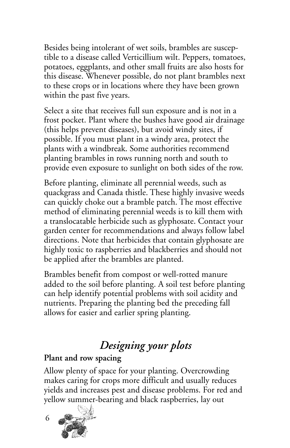Besides being intolerant of wet soils, brambles are susceptible to a disease called Verticillium wilt. Peppers, tomatoes, potatoes, eggplants, and other small fruits are also hosts for this disease. Whenever possible, do not plant brambles next to these crops or in locations where they have been grown within the past five years.

Select a site that receives full sun exposure and is not in a frost pocket. Plant where the bushes have good air drainage (this helps prevent diseases), but avoid windy sites, if possible. If you must plant in a windy area, protect the plants with a windbreak. Some authorities recommend planting brambles in rows running north and south to provide even exposure to sunlight on both sides of the row.

Before planting, eliminate all perennial weeds, such as quackgrass and Canada thistle. These highly invasive weeds can quickly choke out a bramble patch. The most effective method of eliminating perennial weeds is to kill them with a translocatable herbicide such as glyphosate. Contact your garden center for recommendations and always follow label directions. Note that herbicides that contain glyphosate are highly toxic to raspberries and blackberries and should not be applied after the brambles are planted.

Brambles benefit from compost or well-rotted manure added to the soil before planting. A soil test before planting can help identify potential problems with soil acidity and nutrients. Preparing the planting bed the preceding fall allows for easier and earlier spring planting.

## *Designing your plots*

### **Plant and row spacing**

Allow plenty of space for your planting. Overcrowding makes caring for crops more difficult and usually reduces yields and increases pest and disease problems. For red and yellow summer-bearing and black raspberries, lay out

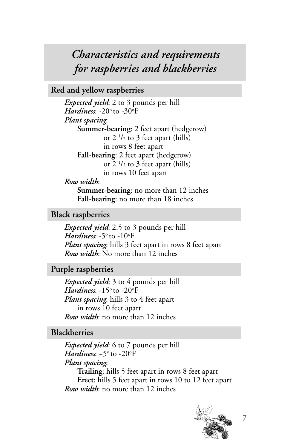## *Characteristics and requirements for raspberries and blackberries*

**Red and yellow raspberries**

*Expected yield*: 2 to 3 pounds per hill *Hardiness*: -20° to -30°F *Plant spacing*: **Summer-bearing**: 2 feet apart (hedgerow) or 2 1 /2 to 3 feet apart (hills) in rows 8 feet apart **Fall-bearing**: 2 feet apart (hedgerow) or 2 1 /2 to 3 feet apart (hills) in rows 10 feet apart

*Row width*:

**Summer-bearing**: no more than 12 inches **Fall-bearing**: no more than 18 inches

**Black raspberries**

*Expected yield*: 2.5 to 3 pounds per hill *Hardiness*: -5° to -10°F *Plant spacing*: hills 3 feet apart in rows 8 feet apart *Row width*: No more than 12 inches

**Purple raspberries**

*Expected yield*: 3 to 4 pounds per hill *Hardiness*: -15° to -20°F *Plant spacing*: hills 3 to 4 feet apart in rows 10 feet apart *Row width*: no more than 12 inches

**Blackberries**

*Expected yield*: 6 to 7 pounds per hill *Hardiness*: +5° to -20°F *Plant spacing*: **Trailing**: hills 5 feet apart in rows 8 feet apart **Erect**: hills 5 feet apart in rows 10 to 12 feet apart *Row width*: no more than 12 inches

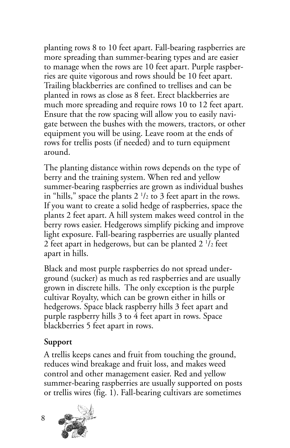planting rows 8 to 10 feet apart. Fall-bearing raspberries are more spreading than summer-bearing types and are easier to manage when the rows are 10 feet apart. Purple raspberries are quite vigorous and rows should be 10 feet apart. Trailing blackberries are confined to trellises and can be planted in rows as close as 8 feet. Erect blackberries are much more spreading and require rows 10 to 12 feet apart. Ensure that the row spacing will allow you to easily navigate between the bushes with the mowers, tractors, or other equipment you will be using. Leave room at the ends of rows for trellis posts (if needed) and to turn equipment around.

The planting distance within rows depends on the type of berry and the training system. When red and yellow summer-bearing raspberries are grown as individual bushes in "hills," space the plants 2  $\frac{1}{2}$  to 3 feet apart in the rows. If you want to create a solid hedge of raspberries, space the plants 2 feet apart. A hill system makes weed control in the berry rows easier. Hedgerows simplify picking and improve light exposure. Fall-bearing raspberries are usually planted 2 feet apart in hedgerows, but can be planted 2  $\frac{1}{2}$  feet apart in hills.

Black and most purple raspberries do not spread underground (sucker) as much as red raspberries and are usually grown in discrete hills. The only exception is the purple cultivar Royalty, which can be grown either in hills or hedgerows. Space black raspberry hills 3 feet apart and purple raspberry hills 3 to 4 feet apart in rows. Space blackberries 5 feet apart in rows.

### **Support**

A trellis keeps canes and fruit from touching the ground, reduces wind breakage and fruit loss, and makes weed control and other management easier. Red and yellow summer-bearing raspberries are usually supported on posts or trellis wires (fig. 1). Fall-bearing cultivars are sometimes

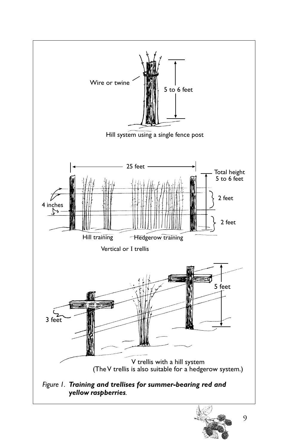

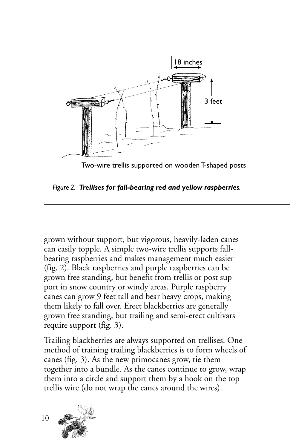

grown without support, but vigorous, heavily-laden canes can easily topple. A simple two-wire trellis supports fallbearing raspberries and makes management much easier (fig. 2). Black raspberries and purple raspberries can be grown free standing, but benefit from trellis or post support in snow country or windy areas. Purple raspberry canes can grow 9 feet tall and bear heavy crops, making them likely to fall over. Erect blackberries are generally grown free standing, but trailing and semi-erect cultivars require support (fig. 3).

Trailing blackberries are always supported on trellises. One method of training trailing blackberries is to form wheels of canes (fig. 3). As the new primocanes grow, tie them together into a bundle. As the canes continue to grow, wrap them into a circle and support them by a hook on the top trellis wire (do not wrap the canes around the wires).

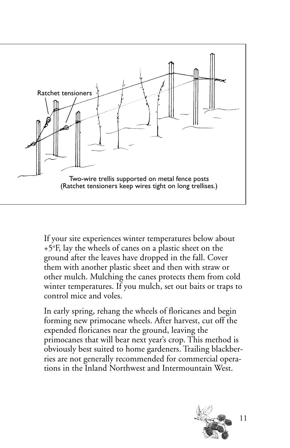

If your site experiences winter temperatures below about +5o F, lay the wheels of canes on a plastic sheet on the ground after the leaves have dropped in the fall. Cover them with another plastic sheet and then with straw or other mulch. Mulching the canes protects them from cold winter temperatures. If you mulch, set out baits or traps to control mice and voles.

In early spring, rehang the wheels of floricanes and begin forming new primocane wheels. After harvest, cut off the expended floricanes near the ground, leaving the primocanes that will bear next year's crop. This method is obviously best suited to home gardeners. Trailing blackberries are not generally recommended for commercial operations in the Inland Northwest and Intermountain West.

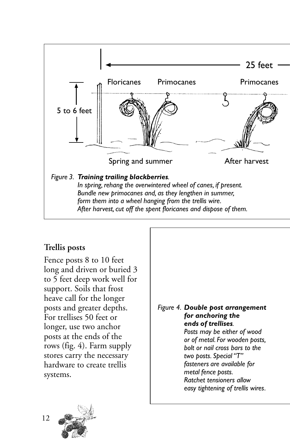

### **Trellis posts**

Fence posts 8 to 10 feet long and driven or buried 3 to 5 feet deep work well for support. Soils that frost heave call for the longer posts and greater depths. For trellises 50 feet or longer, use two anchor posts at the ends of the rows (fig. 4). Farm supply stores carry the necessary hardware to create trellis systems.

#### *Figure 4. Double post arrangement for anchoring the ends of trellises. Posts may be either of wood or of metal. For wooden posts, bolt or nail cross bars to the two posts. Special "T" fasteners are available for metal fence posts. Ratchet tensioners allow*

*easy tightening of trellis wires.*

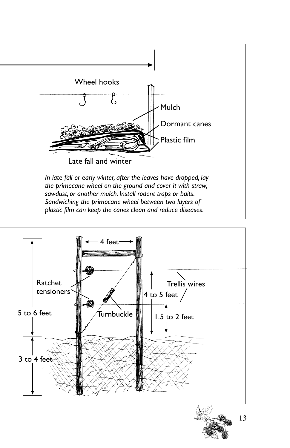

*Sandwiching the primocane wheel between two layers of plastic film can keep the canes clean and reduce diseases.*

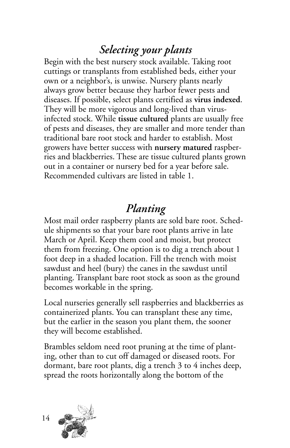## *Selecting your plants*

Begin with the best nursery stock available. Taking root cuttings or transplants from established beds, either your own or a neighbor's, is unwise. Nursery plants nearly always grow better because they harbor fewer pests and diseases. If possible, select plants certified as **virus indexed**. They will be more vigorous and long-lived than virusinfected stock. While **tissue cultured** plants are usually free of pests and diseases, they are smaller and more tender than traditional bare root stock and harder to establish. Most growers have better success with **nursery matured** raspberries and blackberries. These are tissue cultured plants grown out in a container or nursery bed for a year before sale. Recommended cultivars are listed in table 1.

## *Planting*

Most mail order raspberry plants are sold bare root. Schedule shipments so that your bare root plants arrive in late March or April. Keep them cool and moist, but protect them from freezing. One option is to dig a trench about 1 foot deep in a shaded location. Fill the trench with moist sawdust and heel (bury) the canes in the sawdust until planting. Transplant bare root stock as soon as the ground becomes workable in the spring.

Local nurseries generally sell raspberries and blackberries as containerized plants. You can transplant these any time, but the earlier in the season you plant them, the sooner they will become established.

Brambles seldom need root pruning at the time of planting, other than to cut off damaged or diseased roots. For dormant, bare root plants, dig a trench 3 to 4 inches deep, spread the roots horizontally along the bottom of the

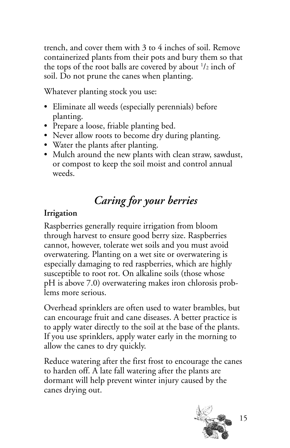trench, and cover them with 3 to 4 inches of soil. Remove containerized plants from their pots and bury them so that the tops of the root balls are covered by about  $1/2$  inch of soil. Do not prune the canes when planting.

Whatever planting stock you use:

- Eliminate all weeds (especially perennials) before planting.
- Prepare a loose, friable planting bed.
- Never allow roots to become dry during planting.
- Water the plants after planting.
- Mulch around the new plants with clean straw, sawdust, or compost to keep the soil moist and control annual weeds.

## *Caring for your berries*

## **Irrigation**

Raspberries generally require irrigation from bloom through harvest to ensure good berry size. Raspberries cannot, however, tolerate wet soils and you must avoid overwatering. Planting on a wet site or overwatering is especially damaging to red raspberries, which are highly susceptible to root rot. On alkaline soils (those whose pH is above 7.0) overwatering makes iron chlorosis problems more serious.

Overhead sprinklers are often used to water brambles, but can encourage fruit and cane diseases. A better practice is to apply water directly to the soil at the base of the plants. If you use sprinklers, apply water early in the morning to allow the canes to dry quickly.

Reduce watering after the first frost to encourage the canes to harden off. A late fall watering after the plants are dormant will help prevent winter injury caused by the canes drying out.

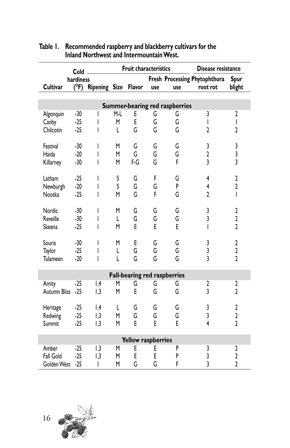|                    | Fruit characteristics<br>Disease resistance<br>Cold. |                         |     |     |     |                                     |                               |                         |
|--------------------|------------------------------------------------------|-------------------------|-----|-----|-----|-------------------------------------|-------------------------------|-------------------------|
|                    | hardiness                                            |                         |     |     |     |                                     | Fresh Processing Phytophthora | <b>Spur</b>             |
| <b>Cultivar</b>    | (°F)                                                 | Ripening Size Flavor    |     |     | use | use                                 | root rot                      | blight                  |
|                    |                                                      |                         |     |     |     |                                     |                               |                         |
|                    |                                                      |                         |     |     |     | Summer-bearing red raspberries      |                               |                         |
| Algonquin          | $-30$                                                |                         | M-L | E   | G   | G                                   | 3                             | 2                       |
| Canby              | $-25$                                                | ı                       | M   | E   | G   | G                                   | I                             | I                       |
| Chilcotin          | $-25$                                                | I                       | L   | G   | G   | G                                   | $\overline{2}$                | $\overline{2}$          |
| Festival           | $-30$                                                | I                       | M   | G   | G   | G                                   | 3                             | 3                       |
| Haida              | $-20$                                                | I                       | M   | G   | G   | G                                   | $\mathbf 2$                   | 3                       |
| Killarney          | $-30$                                                | I                       | M   | F G | G   | F                                   | $\overline{3}$                | $\overline{3}$          |
|                    |                                                      |                         |     |     |     |                                     |                               |                         |
| Latham             | $-25$                                                | I                       | S   | G   | F   | G                                   | 4                             | $\overline{2}$          |
| Newburgh           | $-20$                                                | I                       | S   | G   | G   | P                                   | 4                             | $\overline{2}$          |
| Nootka             | $-25$                                                | I                       | M   | G   | F   | G                                   | $\overline{2}$                | $\overline{1}$          |
|                    |                                                      |                         |     |     |     |                                     |                               |                         |
| Nordic             | $-30$                                                | I                       | M   | G   | G   | G                                   | 3                             | $\overline{2}$          |
| Reveille           | $-30$                                                | I                       | L   | G   | G   | Ġ                                   | $\overline{3}$                | $\overline{2}$          |
| Skeena             | $-25$                                                | I                       | M   | E   | E   | E                                   | I                             | $\overline{2}$          |
| Souris             | $-30$                                                | I                       | M   | E   | G   | G                                   | 3                             | $\overline{2}$          |
| Taylor             | $-25$                                                | I                       | L   | G   | G   | G                                   | 3                             | $\overline{\mathbf{c}}$ |
| Tulameen           | $-20$                                                | I                       | L   | G   | G   | G                                   | $\overline{3}$                | $\overline{2}$          |
|                    |                                                      |                         |     |     |     | <b>Fall-bearing red raspberries</b> |                               |                         |
| Amity              | $-25$                                                | , 4                     | M   | G   | G   | G                                   | 2                             | 2                       |
| Autumn Bliss       | $-25$                                                | $\mathsf{I},\mathsf{3}$ | M   | E   | G   | G                                   | 3                             | 2                       |
|                    |                                                      |                         |     |     |     |                                     |                               |                         |
| Heritage           | $-25$                                                | , 4                     | L   | G   | G   | G                                   | 3                             | $\overline{\mathbf{c}}$ |
| Redwing            | $-25$                                                | $\mathsf{I},\mathsf{3}$ | M   | G   | G   | G                                   | 3                             | $\overline{\mathbf{c}}$ |
| Summit             | $-25$                                                | 1,3                     | M   | E   | F   | F                                   | 4                             | $\overline{2}$          |
| Yellow raspberries |                                                      |                         |     |     |     |                                     |                               |                         |
| Amber              | $-25$                                                | $\mathsf{I},\mathsf{3}$ | M   | E   | E   | P                                   | 3                             | 2                       |
| Fall Gold          | $-25$                                                | 1,3                     | M   | E   | E   | P                                   | 3                             | $\mathbf 2$             |
| Golden West        | $-25$                                                | T                       | M   | G   | G   | F                                   | $\overline{3}$                | $\overline{2}$          |

#### **Table 1. Recommended raspberry and blackberry cultivars for the Inland Northwest and Intermountain West.**

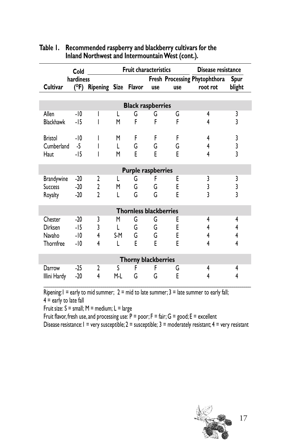|                            | Cold      |                      |     | <b>Fruit characteristics</b>  |     |     | Disease resistance            |                                       |
|----------------------------|-----------|----------------------|-----|-------------------------------|-----|-----|-------------------------------|---------------------------------------|
|                            | hardiness |                      |     |                               |     |     | Fresh Processing Phytophthora | Spur                                  |
| <b>Cultivar</b>            | (°F)      | Ripening Size Flavor |     |                               | use | use | root rot                      | blight                                |
|                            |           |                      |     |                               |     |     |                               |                                       |
|                            |           |                      |     | <b>Black raspberries</b>      |     |     |                               |                                       |
| Allen                      | $-10$     |                      | L   | G                             | G   | G   | 4                             | 3                                     |
| <b>Blackhawk</b>           | $-15$     |                      | M   | F                             | F   | F   | 4                             | $\overline{\mathbf{3}}$               |
|                            |           |                      |     |                               |     |     |                               |                                       |
| Bristol                    | $-10$     | I                    | M   | F                             | F   | F   | 4                             | $\begin{array}{c} 3 \\ 3 \end{array}$ |
| Cumberland                 | $-5$      | I                    | L   | G                             | G   | G   | 4                             |                                       |
| Haut                       | $-15$     | I                    | M   | E                             | E   | E   | 4                             |                                       |
|                            |           |                      |     |                               |     |     |                               |                                       |
|                            |           |                      |     | <b>Purple raspberries</b>     |     |     |                               |                                       |
| <b>Brandywine</b>          | $-20$     | 2                    | L   | G                             | F   | Ε   | 3                             | 3                                     |
| <b>Success</b>             | $-20$     | $\mathbf{2}$         | M   | G                             | G   | E   | 3                             | $\frac{3}{3}$                         |
| Royalty                    | $-20$     | $\mathfrak{p}$       | L   | G                             | G   | E   | 3                             |                                       |
|                            |           |                      |     |                               |     |     |                               |                                       |
|                            |           |                      |     | <b>Thornless blackberries</b> |     |     |                               |                                       |
| Chester                    | $-20$     | 3                    | M   | G                             | G   | E   | 4                             | 4                                     |
| Dirksen                    | $-15$     | 3                    | L   | G                             | G   | E   | 4                             | 4                                     |
| Navaho                     | $-10$     | 4                    | S-M | G                             | G   | E   | 4                             | 4                                     |
| Thornfree                  | $-10$     | 4                    | L   | E                             | E   | E   | 4                             | 4                                     |
| <b>Thorny blackberries</b> |           |                      |     |                               |     |     |                               |                                       |
| Darrow                     | $-25$     | 2                    | S   | F                             | F   | G   | 4                             | 4                                     |
|                            | $-20$     | 4                    | M-L | G                             | G   | E   | 4                             | 4                                     |
| Illini Hardy               |           |                      |     |                               |     |     |                               |                                       |

#### **Table 1. Recommended raspberry and blackberry cultivars for the Inland Northwest and Intermountain West (cont.).**

Ripening:1 = early to mid summer;  $2 = mid$  to late summer;  $3 =$  late summer to early fall;  $4$  = early to late fall

Fruit size:  $S = \text{small}$ ;  $M = \text{medium}$ ;  $L = \text{large}$ 

Fruit flavor, fresh use, and processing use:  $P = poor$ ;  $F = fair$ ;  $G = good$ ;  $E = excellent$ 

Disease resistance:  $1 = \text{very susceptible}; 2 = \text{susceptible}; 3 = \text{moderately resistant}; 4 = \text{very resistant}$ 

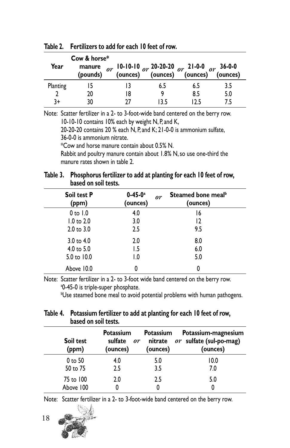|          | Cow & horse*       |                                                                                                                    |      |      |          |
|----------|--------------------|--------------------------------------------------------------------------------------------------------------------|------|------|----------|
| Year     | manure<br>(pounds) | $\sigma r$ 10-10-10 $\sigma r$ 20-20-20 $\sigma r$ 21-0-0 $\sigma r$ 36-0-0<br>(ounces) (ounces) (ounces) (ounces) |      |      | (ounces) |
| Planting |                    |                                                                                                                    | 6.5  | 6.5  | 3.5      |
|          | 20                 | 18                                                                                                                 |      | 8.5  | 5.0      |
| 3+       | 30                 | 77                                                                                                                 | 13.5 | 12 5 | 75       |

**Table 2. Fertilizers to add for each 10 feet of row.**

Note: Scatter fertilizer in a 2- to 3-foot-wide band centered on the berry row. 10-10-10 contains 10% each by weight N, P, and K,

20-20-20 contains 20 % each N, P, and K; 21-0-0 is ammonium sulfate, 36-0-0 is ammonium nitrate.

\*Cow and horse manure contain about 0.5% N.

Rabbit and poultry manure contain about 1.8% N, so use one-third the manure rates shown in table 2.

#### **Table 3. Phosphorus fertilizer to add at planting for each 10 feet of row, based on soil tests.**

| <b>Soil test P</b><br>(ppm) | $0 - 45 - 0^a$<br>(ounces) | Steamed bone meal <sup>b</sup><br>or<br>(ounces) |
|-----------------------------|----------------------------|--------------------------------------------------|
| $0$ to $1.0$                | 4.0                        | 16                                               |
| $1.0$ to $2.0$              | 3.0                        | 12                                               |
| $2.0 \text{ to } 3.0$       | 2.5                        | 9.5                                              |
| 3.0 to $4.0$                | 2.0                        | 8.0                                              |
| 4.0 to $5.0$                | 1.5                        | 6.0                                              |
| 5.0 to 10.0                 | 1.0                        | 5.0                                              |
| Above 10.0                  | 0                          | 0                                                |

Note: Scatter fertilizer in a 2- to 3-foot wide band centered on the berry row. a 0-45-0 is triple-super phosphate.

b Use steamed bone meal to avoid potential problems with human pathogens.

| Table 4. Potassium fertilizer to add at planting for each 10 feet of row, |
|---------------------------------------------------------------------------|
| based on soil tests.                                                      |

| Soil test<br>(ppm) | <b>Potassium</b><br>sulfate<br>or<br>(ounces) | Potassium<br>nitrate<br>(ounces) | Potassium-magnesium<br>$or$ sulfate (sul-po-mag)<br>(ounces) |
|--------------------|-----------------------------------------------|----------------------------------|--------------------------------------------------------------|
| 0 to 50            | 4.0                                           | 5.0                              | 10.0                                                         |
| 50 to 75           | 2.5                                           | 3.5                              | 7.0                                                          |
| 75 to 100          | 2.0                                           | 2.5                              | 5.0                                                          |
| Above 100          |                                               |                                  |                                                              |

Note: Scatter fertilizer in a 2- to 3-foot-wide band centered on the berry row.



18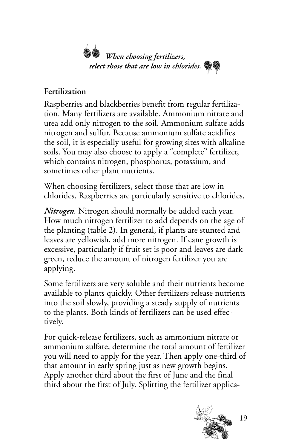

## **Fertilization**

Raspberries and blackberries benefit from regular fertilization. Many fertilizers are available. Ammonium nitrate and urea add only nitrogen to the soil. Ammonium sulfate adds nitrogen and sulfur. Because ammonium sulfate acidifies the soil, it is especially useful for growing sites with alkaline soils. You may also choose to apply a "complete" fertilizer, which contains nitrogen, phosphorus, potassium, and sometimes other plant nutrients.

When choosing fertilizers, select those that are low in chlorides. Raspberries are particularly sensitive to chlorides.

*Nitrogen*. Nitrogen should normally be added each year. How much nitrogen fertilizer to add depends on the age of the planting (table 2). In general, if plants are stunted and leaves are yellowish, add more nitrogen. If cane growth is excessive, particularly if fruit set is poor and leaves are dark green, reduce the amount of nitrogen fertilizer you are applying.

Some fertilizers are very soluble and their nutrients become available to plants quickly. Other fertilizers release nutrients into the soil slowly, providing a steady supply of nutrients to the plants. Both kinds of fertilizers can be used effectively.

For quick-release fertilizers, such as ammonium nitrate or ammonium sulfate, determine the total amount of fertilizer you will need to apply for the year. Then apply one-third of that amount in early spring just as new growth begins. Apply another third about the first of June and the final third about the first of July. Splitting the fertilizer applica-

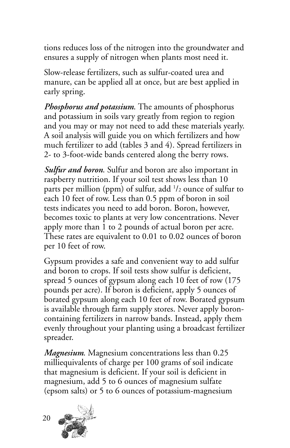tions reduces loss of the nitrogen into the groundwater and ensures a supply of nitrogen when plants most need it.

Slow-release fertilizers, such as sulfur-coated urea and manure, can be applied all at once, but are best applied in early spring.

*Phosphorus and potassium*. The amounts of phosphorus and potassium in soils vary greatly from region to region and you may or may not need to add these materials yearly. A soil analysis will guide you on which fertilizers and how much fertilizer to add (tables 3 and 4). Spread fertilizers in 2- to 3-foot-wide bands centered along the berry rows.

*Sulfur and boron*. Sulfur and boron are also important in raspberry nutrition. If your soil test shows less than 10 parts per million (ppm) of sulfur, add  $\frac{1}{2}$  ounce of sulfur to each 10 feet of row. Less than 0.5 ppm of boron in soil tests indicates you need to add boron. Boron, however, becomes toxic to plants at very low concentrations. Never apply more than 1 to 2 pounds of actual boron per acre. These rates are equivalent to 0.01 to 0.02 ounces of boron per 10 feet of row.

Gypsum provides a safe and convenient way to add sulfur and boron to crops. If soil tests show sulfur is deficient, spread 5 ounces of gypsum along each 10 feet of row (175 pounds per acre). If boron is deficient, apply 5 ounces of borated gypsum along each 10 feet of row. Borated gypsum is available through farm supply stores. Never apply boroncontaining fertilizers in narrow bands. Instead, apply them evenly throughout your planting using a broadcast fertilizer spreader.

*Magnesium*. Magnesium concentrations less than 0.25 milliequivalents of charge per 100 grams of soil indicate that magnesium is deficient. If your soil is deficient in magnesium, add 5 to 6 ounces of magnesium sulfate (epsom salts) or 5 to 6 ounces of potassium-magnesium

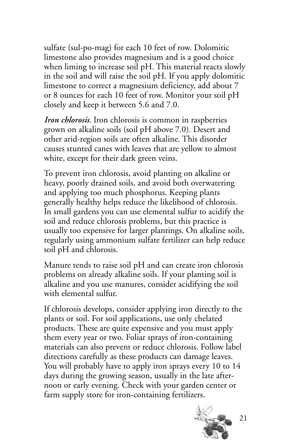sulfate (sul-po-mag) for each 10 feet of row. Dolomitic limestone also provides magnesium and is a good choice when liming to increase soil pH. This material reacts slowly in the soil and will raise the soil pH. If you apply dolomitic limestone to correct a magnesium deficiency, add about 7 or 8 ounces for each 10 feet of row. Monitor your soil pH closely and keep it between 5.6 and 7.0.

*Iron chlorosis*. Iron chlorosis is common in raspberries grown on alkaline soils (soil pH above 7.0). Desert and other arid-region soils are often alkaline. This disorder causes stunted canes with leaves that are yellow to almost white, except for their dark green veins.

To prevent iron chlorosis, avoid planting on alkaline or heavy, poorly drained soils, and avoid both overwatering and applying too much phosphorus. Keeping plants generally healthy helps reduce the likelihood of chlorosis. In small gardens you can use elemental sulfur to acidify the soil and reduce chlorosis problems, but this practice is usually too expensive for larger plantings. On alkaline soils, regularly using ammonium sulfate fertilizer can help reduce soil pH and chlorosis.

Manure tends to raise soil pH and can create iron chlorosis problems on already alkaline soils. If your planting soil is alkaline and you use manures, consider acidifying the soil with elemental sulfur.

If chlorosis develops, consider applying iron directly to the plants or soil. For soil applications, use only chelated products. These are quite expensive and you must apply them every year or two. Foliar sprays of iron-containing materials can also prevent or reduce chlorosis. Follow label directions carefully as these products can damage leaves. You will probably have to apply iron sprays every 10 to 14 days during the growing season, usually in the late afternoon or early evening. Check with your garden center or farm supply store for iron-containing fertilizers.

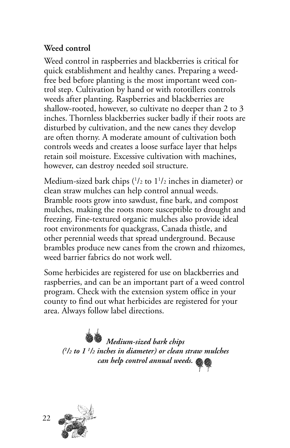## **Weed control**

Weed control in raspberries and blackberries is critical for quick establishment and healthy canes. Preparing a weedfree bed before planting is the most important weed control step. Cultivation by hand or with rototillers controls weeds after planting. Raspberries and blackberries are shallow-rooted, however, so cultivate no deeper than 2 to 3 inches. Thornless blackberries sucker badly if their roots are disturbed by cultivation, and the new canes they develop are often thorny. A moderate amount of cultivation both controls weeds and creates a loose surface layer that helps retain soil moisture. Excessive cultivation with machines, however, can destroy needed soil structure.

Medium-sized bark chips (1 /2 to 11 /2 inches in diameter) or clean straw mulches can help control annual weeds. Bramble roots grow into sawdust, fine bark, and compost mulches, making the roots more susceptible to drought and freezing. Fine-textured organic mulches also provide ideal root environments for quackgrass, Canada thistle, and other perennial weeds that spread underground. Because brambles produce new canes from the crown and rhizomes, weed barrier fabrics do not work well.

Some herbicides are registered for use on blackberries and raspberries, and can be an important part of a weed control program. Check with the extension system office in your county to find out what herbicides are registered for your area. Always follow label directions.

*Medium-sized bark chips (1 /2 to 1 1 /2 inches in diameter) or clean straw mulches can help control annual weeds.*

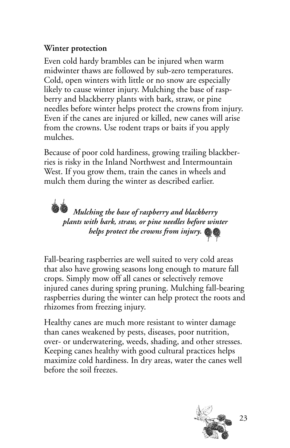## **Winter protection**

Even cold hardy brambles can be injured when warm midwinter thaws are followed by sub-zero temperatures. Cold, open winters with little or no snow are especially likely to cause winter injury. Mulching the base of raspberry and blackberry plants with bark, straw, or pine needles before winter helps protect the crowns from injury. Even if the canes are injured or killed, new canes will arise from the crowns. Use rodent traps or baits if you apply mulches.

Because of poor cold hardiness, growing trailing blackberries is risky in the Inland Northwest and Intermountain West. If you grow them, train the canes in wheels and mulch them during the winter as described earlier.

*<i>Mulching the base of raspberry and blackberry plants with bark, straw, or pine needles before winter helps protect the crowns from injury.*

Fall-bearing raspberries are well suited to very cold areas that also have growing seasons long enough to mature fall crops. Simply mow off all canes or selectively remove injured canes during spring pruning. Mulching fall-bearing raspberries during the winter can help protect the roots and rhizomes from freezing injury.

Healthy canes are much more resistant to winter damage than canes weakened by pests, diseases, poor nutrition, over- or underwatering, weeds, shading, and other stresses. Keeping canes healthy with good cultural practices helps maximize cold hardiness. In dry areas, water the canes well before the soil freezes.

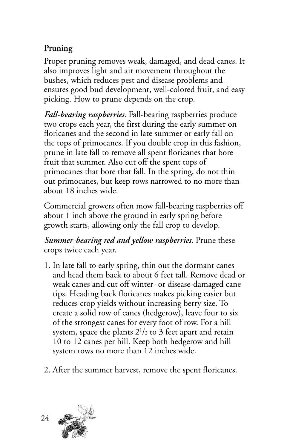## **Pruning**

Proper pruning removes weak, damaged, and dead canes. It also improves light and air movement throughout the bushes, which reduces pest and disease problems and ensures good bud development, well-colored fruit, and easy picking. How to prune depends on the crop.

*Fall-bearing raspberries*. Fall-bearing raspberries produce two crops each year, the first during the early summer on floricanes and the second in late summer or early fall on the tops of primocanes. If you double crop in this fashion, prune in late fall to remove all spent floricanes that bore fruit that summer. Also cut off the spent tops of primocanes that bore that fall. In the spring, do not thin out primocanes, but keep rows narrowed to no more than about 18 inches wide.

Commercial growers often mow fall-bearing raspberries off about 1 inch above the ground in early spring before growth starts, allowing only the fall crop to develop.

*Summer-bearing red and yellow raspberries***.** Prune these crops twice each year.

- 1. In late fall to early spring, thin out the dormant canes and head them back to about 6 feet tall. Remove dead or weak canes and cut off winter- or disease-damaged cane tips. Heading back floricanes makes picking easier but reduces crop yields without increasing berry size. To create a solid row of canes (hedgerow), leave four to six of the strongest canes for every foot of row. For a hill system, space the plants  $2^{1}\prime_2$  to 3 feet apart and retain 10 to 12 canes per hill. Keep both hedgerow and hill system rows no more than 12 inches wide.
- 2. After the summer harvest, remove the spent floricanes.

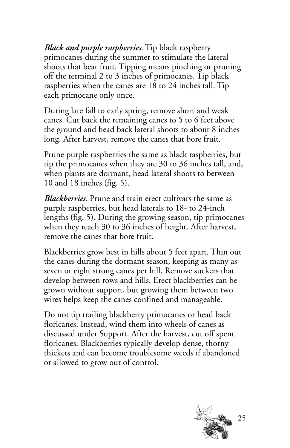*Black and purple raspberries*. Tip black raspberry primocanes during the summer to stimulate the lateral shoots that bear fruit. Tipping means pinching or pruning off the terminal 2 to 3 inches of primocanes. Tip black raspberries when the canes are 18 to 24 inches tall. Tip each primocane only once.

During late fall to early spring, remove short and weak canes. Cut back the remaining canes to 5 to 6 feet above the ground and head back lateral shoots to about 8 inches long. After harvest, remove the canes that bore fruit.

Prune purple raspberries the same as black raspberries, but tip the primocanes when they are 30 to 36 inches tall, and, when plants are dormant, head lateral shoots to between 10 and 18 inches (fig. 5).

*Blackberries*. Prune and train erect cultivars the same as purple raspberries, but head laterals to 18- to 24-inch lengths (fig. 5). During the growing season, tip primocanes when they reach 30 to 36 inches of height. After harvest, remove the canes that bore fruit.

Blackberries grow best in hills about 5 feet apart. Thin out the canes during the dormant season, keeping as many as seven or eight strong canes per hill. Remove suckers that develop between rows and hills. Erect blackberries can be grown without support, but growing them between two wires helps keep the canes confined and manageable.

Do not tip trailing blackberry primocanes or head back floricanes. Instead, wind them into wheels of canes as discussed under Support. After the harvest, cut off spent floricanes. Blackberries typically develop dense, thorny thickets and can become troublesome weeds if abandoned or allowed to grow out of control.

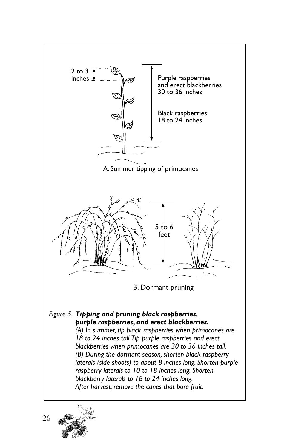

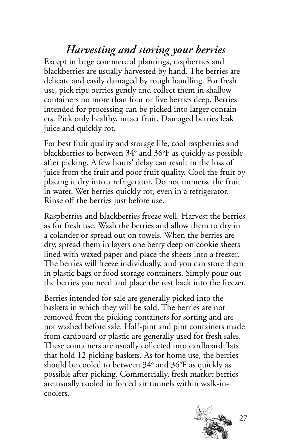## *Harvesting and storing your berries*

Except in large commercial plantings, raspberries and blackberries are usually harvested by hand. The berries are delicate and easily damaged by rough handling. For fresh use, pick ripe berries gently and collect them in shallow containers no more than four or five berries deep. Berries intended for processing can be picked into larger containers. Pick only healthy, intact fruit. Damaged berries leak juice and quickly rot.

For best fruit quality and storage life, cool raspberries and blackberries to between 34° and 36°F as quickly as possible after picking. A few hours' delay can result in the loss of juice from the fruit and poor fruit quality. Cool the fruit by placing it dry into a refrigerator. Do not immerse the fruit in water. Wet berries quickly rot, even in a refrigerator. Rinse off the berries just before use.

Raspberries and blackberries freeze well. Harvest the berries as for fresh use. Wash the berries and allow them to dry in a colander or spread out on towels. When the berries are dry, spread them in layers one berry deep on cookie sheets lined with waxed paper and place the sheets into a freezer. The berries will freeze individually, and you can store them in plastic bags or food storage containers. Simply pour out the berries you need and place the rest back into the freezer.

Berries intended for sale are generally picked into the baskets in which they will be sold. The berries are not removed from the picking containers for sorting and are not washed before sale. Half-pint and pint containers made from cardboard or plastic are generally used for fresh sales. These containers are usually collected into cardboard flats that hold 12 picking baskets. As for home use, the berries should be cooled to between  $34^{\rm o}$  and  $36^{\rm oF}$  as quickly as possible after picking. Commercially, fresh market berries are usually cooled in forced air tunnels within walk-incoolers.

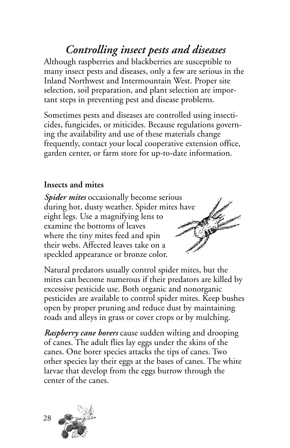## *Controlling insect pests and diseases*

Although raspberries and blackberries are susceptible to many insect pests and diseases, only a few are serious in the Inland Northwest and Intermountain West. Proper site selection, soil preparation, and plant selection are important steps in preventing pest and disease problems.

Sometimes pests and diseases are controlled using insecticides, fungicides, or miticides. Because regulations governing the availability and use of these materials change frequently, contact your local cooperative extension office, garden center, or farm store for up-to-date information.

### **Insects and mites**

*Spider mites* occasionally become serious during hot, dusty weather. Spider mites have eight legs. Use a magnifying lens to examine the bottoms of leaves where the tiny mites feed and spin their webs. Affected leaves take on a speckled appearance or bronze color.



Natural predators usually control spider mites, but the mites can become numerous if their predators are killed by excessive pesticide use. Both organic and nonorganic pesticides are available to control spider mites. Keep bushes open by proper pruning and reduce dust by maintaining roads and alleys in grass or cover crops or by mulching.

*Raspberry cane borers* cause sudden wilting and drooping of canes. The adult flies lay eggs under the skins of the canes. One borer species attacks the tips of canes. Two other species lay their eggs at the bases of canes. The white larvae that develop from the eggs burrow through the center of the canes.

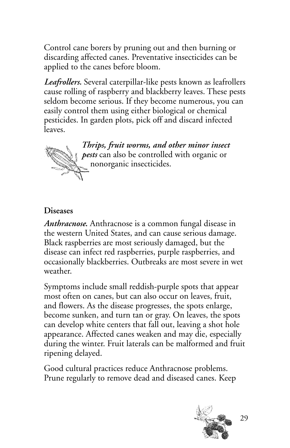Control cane borers by pruning out and then burning or discarding affected canes. Preventative insecticides can be applied to the canes before bloom.

*Leafrollers.* Several caterpillar-like pests known as leafrollers cause rolling of raspberry and blackberry leaves. These pests seldom become serious. If they become numerous, you can easily control them using either biological or chemical pesticides. In garden plots, pick off and discard infected leaves.



*Thrips, fruit worms, and other minor insect pests* can also be controlled with organic or nonorganic insecticides.

### **Diseases**

*Anthracnose***.** Anthracnose is a common fungal disease in the western United States, and can cause serious damage. Black raspberries are most seriously damaged, but the disease can infect red raspberries, purple raspberries, and occasionally blackberries. Outbreaks are most severe in wet weather.

Symptoms include small reddish-purple spots that appear most often on canes, but can also occur on leaves, fruit, and flowers. As the disease progresses, the spots enlarge, become sunken, and turn tan or gray. On leaves, the spots can develop white centers that fall out, leaving a shot hole appearance. Affected canes weaken and may die, especially during the winter. Fruit laterals can be malformed and fruit ripening delayed.

Good cultural practices reduce Anthracnose problems. Prune regularly to remove dead and diseased canes. Keep

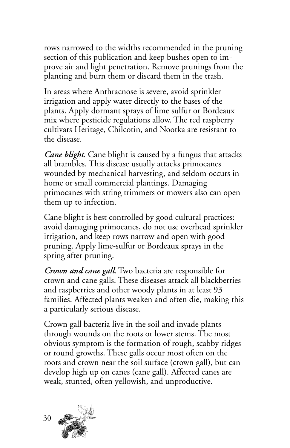rows narrowed to the widths recommended in the pruning section of this publication and keep bushes open to improve air and light penetration. Remove prunings from the planting and burn them or discard them in the trash.

In areas where Anthracnose is severe, avoid sprinkler irrigation and apply water directly to the bases of the plants. Apply dormant sprays of lime sulfur or Bordeaux mix where pesticide regulations allow. The red raspberry cultivars Heritage, Chilcotin, and Nootka are resistant to the disease.

*Cane blight*. Cane blight is caused by a fungus that attacks all brambles. This disease usually attacks primocanes wounded by mechanical harvesting, and seldom occurs in home or small commercial plantings. Damaging primocanes with string trimmers or mowers also can open them up to infection.

Cane blight is best controlled by good cultural practices: avoid damaging primocanes, do not use overhead sprinkler irrigation, and keep rows narrow and open with good pruning. Apply lime-sulfur or Bordeaux sprays in the spring after pruning.

*Crown and cane gall*. Two bacteria are responsible for crown and cane galls. These diseases attack all blackberries and raspberries and other woody plants in at least 93 families. Affected plants weaken and often die, making this a particularly serious disease.

Crown gall bacteria live in the soil and invade plants through wounds on the roots or lower stems. The most obvious symptom is the formation of rough, scabby ridges or round growths. These galls occur most often on the roots and crown near the soil surface (crown gall), but can develop high up on canes (cane gall). Affected canes are weak, stunted, often yellowish, and unproductive.

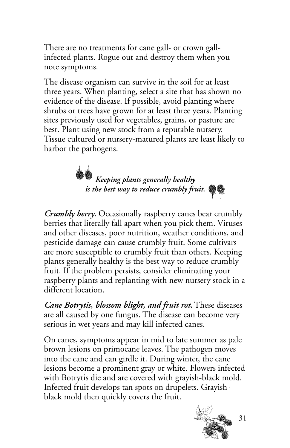There are no treatments for cane gall- or crown gallinfected plants. Rogue out and destroy them when you note symptoms.

The disease organism can survive in the soil for at least three years. When planting, select a site that has shown no evidence of the disease. If possible, avoid planting where shrubs or trees have grown for at least three years. Planting sites previously used for vegetables, grains, or pasture are best. Plant using new stock from a reputable nursery. Tissue cultured or nursery-matured plants are least likely to harbor the pathogens.



*Crumbly berry.* Occasionally raspberry canes bear crumbly berries that literally fall apart when you pick them. Viruses and other diseases, poor nutrition, weather conditions, and pesticide damage can cause crumbly fruit. Some cultivars are more susceptible to crumbly fruit than others. Keeping plants generally healthy is the best way to reduce crumbly fruit. If the problem persists, consider eliminating your raspberry plants and replanting with new nursery stock in a different location.

*Cane Botrytis, blossom blight, and fruit rot.* These diseases are all caused by one fungus. The disease can become very serious in wet years and may kill infected canes.

On canes, symptoms appear in mid to late summer as pale brown lesions on primocane leaves. The pathogen moves into the cane and can girdle it. During winter, the cane lesions become a prominent gray or white. Flowers infected with Botrytis die and are covered with grayish-black mold. Infected fruit develops tan spots on drupelets. Grayishblack mold then quickly covers the fruit.

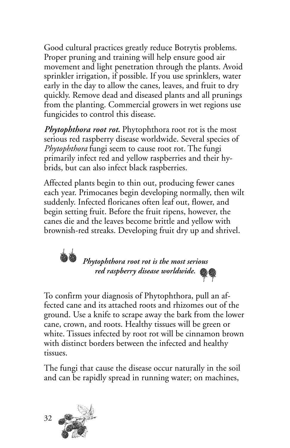Good cultural practices greatly reduce Botrytis problems. Proper pruning and training will help ensure good air movement and light penetration through the plants. Avoid sprinkler irrigation, if possible. If you use sprinklers, water early in the day to allow the canes, leaves, and fruit to dry quickly. Remove dead and diseased plants and all prunings from the planting. Commercial growers in wet regions use fungicides to control this disease.

*Phytophthora root rot.* Phytophthora root rot is the most serious red raspberry disease worldwide. Several species of *Phytophthora* fungi seem to cause root rot. The fungi primarily infect red and yellow raspberries and their hybrids, but can also infect black raspberries.

Affected plants begin to thin out, producing fewer canes each year. Primocanes begin developing normally, then wilt suddenly. Infected floricanes often leaf out, flower, and begin setting fruit. Before the fruit ripens, however, the canes die and the leaves become brittle and yellow with brownish-red streaks. Developing fruit dry up and shrivel.



To confirm your diagnosis of Phytophthora, pull an affected cane and its attached roots and rhizomes out of the ground. Use a knife to scrape away the bark from the lower cane, crown, and roots. Healthy tissues will be green or white. Tissues infected by root rot will be cinnamon brown with distinct borders between the infected and healthy tissues.

The fungi that cause the disease occur naturally in the soil and can be rapidly spread in running water; on machines,

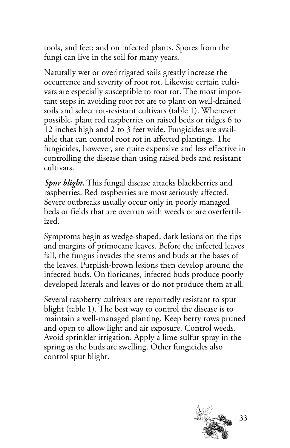tools, and feet; and on infected plants. Spores from the fungi can live in the soil for many years.

Naturally wet or overirrigated soils greatly increase the occurrence and severity of root rot. Likewise certain cultivars are especially susceptible to root rot. The most important steps in avoiding root rot are to plant on well-drained soils and select rot-resistant cultivars (table 1). Whenever possible, plant red raspberries on raised beds or ridges 6 to 12 inches high and 2 to 3 feet wide. Fungicides are available that can control root rot in affected plantings. The fungicides, however, are quite expensive and less effective in controlling the disease than using raised beds and resistant cultivars.

*Spur blight.* This fungal disease attacks blackberries and raspberries. Red raspberries are most seriously affected. Severe outbreaks usually occur only in poorly managed beds or fields that are overrun with weeds or are overfertilized.

Symptoms begin as wedge-shaped, dark lesions on the tips and margins of primocane leaves. Before the infected leaves fall, the fungus invades the stems and buds at the bases of the leaves. Purplish-brown lesions then develop around the infected buds. On floricanes, infected buds produce poorly developed laterals and leaves or do not produce them at all.

Several raspberry cultivars are reportedly resistant to spur blight (table 1). The best way to control the disease is to maintain a well-managed planting. Keep berry rows pruned and open to allow light and air exposure. Control weeds. Avoid sprinkler irrigation. Apply a lime-sulfur spray in the spring as the buds are swelling. Other fungicides also control spur blight.

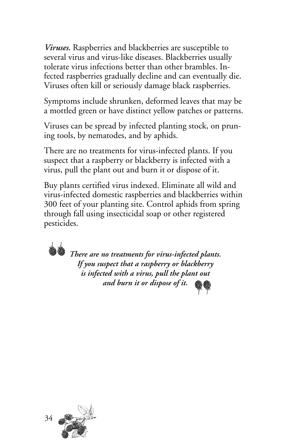*Viruses.* Raspberries and blackberries are susceptible to several virus and virus-like diseases. Blackberries usually tolerate virus infections better than other brambles. Infected raspberries gradually decline and can eventually die. Viruses often kill or seriously damage black raspberries.

Symptoms include shrunken, deformed leaves that may be a mottled green or have distinct yellow patches or patterns.

Viruses can be spread by infected planting stock, on pruning tools, by nematodes, and by aphids.

There are no treatments for virus-infected plants. If you suspect that a raspberry or blackberry is infected with a virus, pull the plant out and burn it or dispose of it.

Buy plants certified virus indexed. Eliminate all wild and virus-infected domestic raspberries and blackberries within 300 feet of your planting site. Control aphids from spring through fall using insecticidal soap or other registered pesticides.

*There are no treatments for virus-infected plants. If you suspect that a raspberry or blackberry is infected with a virus, pull the plant out and burn it or dispose of it.*

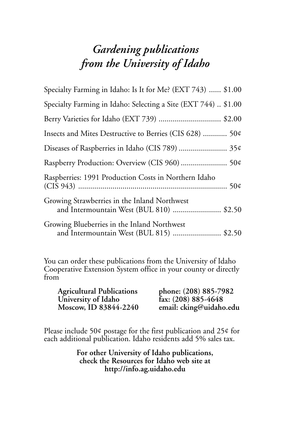## *Gardening publications from the University of Idaho*

| Specialty Farming in Idaho: Is It for Me? (EXT 743)  \$1.00                              |
|------------------------------------------------------------------------------------------|
| Specialty Farming in Idaho: Selecting a Site (EXT 744)  \$1.00                           |
| Berry Varieties for Idaho (EXT 739)  \$2.00                                              |
| Insects and Mites Destructive to Berries (CIS 628)  50¢                                  |
| Diseases of Raspberries in Idaho (CIS 789)  35¢                                          |
| Raspberry Production: Overview (CIS 960)  50¢                                            |
| Raspberries: 1991 Production Costs in Northern Idaho                                     |
| Growing Strawberries in the Inland Northwest<br>and Intermountain West (BUL 810)  \$2.50 |
| Growing Blueberries in the Inland Northwest<br>and Intermountain West (BUL 815)  \$2.50  |

You can order these publications from the University of Idaho Cooperative Extension System office in your county or directly from

| <b>Agricultural Publications</b> | phone: (208) 885-7982            |
|----------------------------------|----------------------------------|
| University of Idaho              | $\hat{f}_{ax}: (208) 885 - 4648$ |
| Moscow, ID 83844-2240            | email: cking@uidaho.edu          |

Please include 50¢ postage for the first publication and 25¢ for each additional publication. Idaho residents add 5% sales tax.

> **For other University of Idaho publications, check the Resources for Idaho web site at http://info.ag.uidaho.edu**